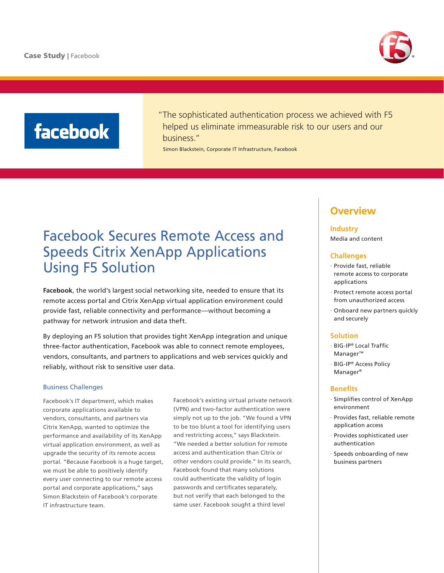

# **facebook**

"The sophisticated authentication process we achieved with F5 helped us eliminate immeasurable risk to our users and our business."

Simon Blackstein, Corporate IT Infrastructure, Facebook

## Facebook Secures Remote Access and Speeds Citrix XenApp Applications Using F5 Solution

**[Facebook](http://www.facebook.com)**, the world's largest social networking site, needed to ensure that its remote access portal and Citrix XenApp virtual application environment could provide fast, reliable connectivity and performance—without becoming a pathway for network intrusion and data theft.

By deploying an F5 solution that provides tight XenApp integration and unique three-factor authentication, Facebook was able to connect remote employees, vendors, consultants, and partners to applications and web services quickly and reliably, without risk to sensitive user data.

#### Business Challenges

Facebook's IT department, which makes corporate applications available to vendors, consultants, and partners via Citrix XenApp, wanted to optimize the performance and availability of its XenApp virtual application environment, as well as upgrade the security of its remote access portal. "Because Facebook is a huge target, we must be able to positively identify every user connecting to our remote access portal and corporate applications," says Simon Blackstein of Facebook's corporate IT infrastructure team.

Facebook's existing virtual private network (VPN) and two-factor authentication were simply not up to the job. "We found a VPN to be too blunt a tool for identifying users and restricting access," says Blackstein. "We needed a better solution for remote access and authentication than Citrix or other vendors could provide." In its search, Facebook found that many solutions could authenticate the validity of login passwords and certificates separately, but not verify that each belonged to the same user. Facebook sought a third level

### **Overview**

#### **Industry**

Media and content

#### **Challenges**

- · Provide fast, reliable remote access to corporate applications
- · Protect remote access portal from unauthorized access
- · Onboard new partners quickly and securely

#### **Solution**

- · BIG-IP® Local Traffic Manager™
- · BIG-IP® Access Policy Manager®

#### **Benefits**

- · Simplifies control of XenApp environment
- · Provides fast, reliable remote application access
- · Provides sophisticated user authentication
- · Speeds onboarding of new business partners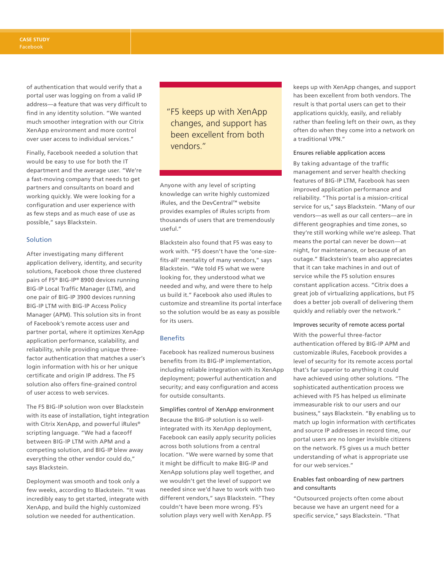of authentication that would verify that a portal user was logging on from a valid IP address—a feature that was very difficult to find in any identity solution. "We wanted much smoother integration with our Citrix XenApp environment and more control over user access to individual services."

Finally, Facebook needed a solution that would be easy to use for both the IT department and the average user. "We're a fast-moving company that needs to get partners and consultants on board and working quickly. We were looking for a configuration and user experience with as few steps and as much ease of use as possible," says Blackstein.

#### **Solution**

After investigating many different application delivery, identity, and security solutions, Facebook chose three clustered pairs of F5® BIG-IP® 8900 devices running BIG-IP Local Traffic Manager (LTM), and one pair of BIG-IP 3900 devices running BIG-IP LTM with BIG-IP Access Policy Manager (APM). This solution sits in front of Facebook's remote access user and partner portal, where it optimizes XenApp application performance, scalability, and reliability, while providing unique threefactor authentication that matches a user's login information with his or her unique certificate and origin IP address. The F5 solution also offers fine-grained control of user access to web services.

The F5 BIG-IP solution won over Blackstein with its ease of installation, tight integration with Citrix XenApp, and powerful iRules® scripting language. "We had a faceoff between BIG-IP LTM with APM and a competing solution, and BIG-IP blew away everything the other vendor could do," says Blackstein.

Deployment was smooth and took only a few weeks, according to Blackstein. "It was incredibly easy to get started, integrate with XenApp, and build the highly customized solution we needed for authentication.

"F5 keeps up with XenApp changes, and support has been excellent from both vendors."

Anyone with any level of scripting knowledge can write highly customized iRules, and the DevCentral™ website provides examples of iRules scripts from thousands of users that are tremendously useful."

Blackstein also found that F5 was easy to work with. "F5 doesn't have the 'one-sizefits-all' mentality of many vendors," says Blackstein. "We told F5 what we were looking for, they understood what we needed and why, and were there to help us build it." Facebook also used iRules to customize and streamline its portal interface so the solution would be as easy as possible for its users.

#### Benefits

Facebook has realized numerous business benefits from its BIG-IP implementation, including reliable integration with its XenApp deployment; powerful authentication and security; and easy configuration and access for outside consultants.

#### Simplifies control of XenApp environment

Because the BIG-IP solution is so wellintegrated with its XenApp deployment, Facebook can easily apply security policies across both solutions from a central location. "We were warned by some that it might be difficult to make BIG-IP and XenApp solutions play well together, and we wouldn't get the level of support we needed since we'd have to work with two different vendors," says Blackstein. "They couldn't have been more wrong. F5's solution plays very well with XenApp. F5

keeps up with XenApp changes, and support has been excellent from both vendors. The result is that portal users can get to their applications quickly, easily, and reliably rather than feeling left on their own, as they often do when they come into a network on a traditional VPN."

#### Ensures reliable application access

By taking advantage of the traffic management and server health checking features of BIG-IP LTM, Facebook has seen improved application performance and reliability. "This portal is a mission-critical service for us," says Blackstein. "Many of our vendors—as well as our call centers—are in different geographies and time zones, so they're still working while we're asleep. That means the portal can never be down—at night, for maintenance, or because of an outage." Blackstein's team also appreciates that it can take machines in and out of service while the F5 solution ensures constant application access. "Citrix does a great job of virtualizing applications, but F5 does a better job overall of delivering them quickly and reliably over the network."

#### Improves security of remote access portal

With the powerful three-factor authentication offered by BIG-IP APM and customizable iRules, Facebook provides a level of security for its remote access portal that's far superior to anything it could have achieved using other solutions. "The sophisticated authentication process we achieved with F5 has helped us eliminate immeasurable risk to our users and our business," says Blackstein. "By enabling us to match up login information with certificates and source IP addresses in record time, our portal users are no longer invisible citizens on the network. F5 gives us a much better understanding of what is appropriate use for our web services."

#### Enables fast onboarding of new partners and consultants

"Outsourced projects often come about because we have an urgent need for a specific service," says Blackstein. "That